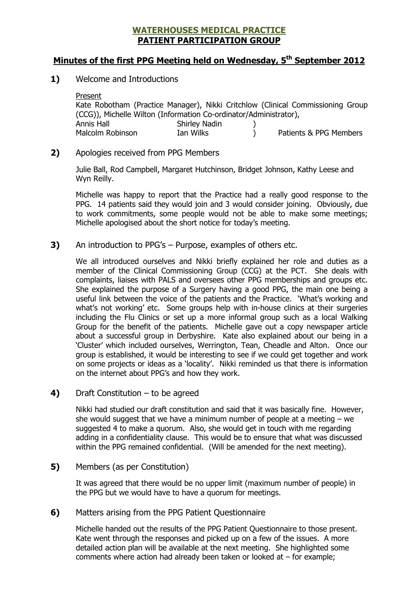## WATERHOUSES MEDICAL PRACTICE PATIENT PARTICIPATION GROUP

## Minutes of the first PPG Meeting held on Wednesday, 5<sup>th</sup> September 2012

1) Welcome and Introductions

| Present                                                           |               |  |                                                                                 |
|-------------------------------------------------------------------|---------------|--|---------------------------------------------------------------------------------|
|                                                                   |               |  | Kate Robotham (Practice Manager), Nikki Critchlow (Clinical Commissioning Group |
| (CCG)), Michelle Wilton (Information Co-ordinator/Administrator), |               |  |                                                                                 |
| Annis Hall                                                        | Shirley Nadin |  |                                                                                 |
| Malcolm Robinson                                                  | Ian Wilks     |  | Patients & PPG Members                                                          |

## 2) Apologies received from PPG Members

Julie Ball, Rod Campbell, Margaret Hutchinson, Bridget Johnson, Kathy Leese and Wyn Reilly.

Michelle was happy to report that the Practice had a really good response to the PPG. 14 patients said they would join and 3 would consider joining. Obviously, due to work commitments, some people would not be able to make some meetings; Michelle apologised about the short notice for today's meeting.

3) An introduction to PPG's – Purpose, examples of others etc.

We all introduced ourselves and Nikki briefly explained her role and duties as a member of the Clinical Commissioning Group (CCG) at the PCT. She deals with complaints, liaises with PALS and oversees other PPG memberships and groups etc. She explained the purpose of a Surgery having a good PPG, the main one being a useful link between the voice of the patients and the Practice. 'What's working and what's not working' etc. Some groups help with in-house clinics at their surgeries including the Flu Clinics or set up a more informal group such as a local Walking Group for the benefit of the patients. Michelle gave out a copy newspaper article about a successful group in Derbyshire. Kate also explained about our being in a 'Cluster' which included ourselves, Werrington, Tean, Cheadle and Alton. Once our group is established, it would be interesting to see if we could get together and work on some projects or ideas as a 'locality'. Nikki reminded us that there is information on the internet about PPG's and how they work.

4) Draft Constitution  $-$  to be agreed

Nikki had studied our draft constitution and said that it was basically fine. However, she would suggest that we have a minimum number of people at a meeting  $-$  we suggested 4 to make a quorum. Also, she would get in touch with me regarding adding in a confidentiality clause. This would be to ensure that what was discussed within the PPG remained confidential. (Will be amended for the next meeting).

5) Members (as per Constitution)

It was agreed that there would be no upper limit (maximum number of people) in the PPG but we would have to have a quorum for meetings.

6) Matters arising from the PPG Patient Questionnaire

Michelle handed out the results of the PPG Patient Questionnaire to those present. Kate went through the responses and picked up on a few of the issues. A more detailed action plan will be available at the next meeting. She highlighted some comments where action had already been taken or looked at – for example;